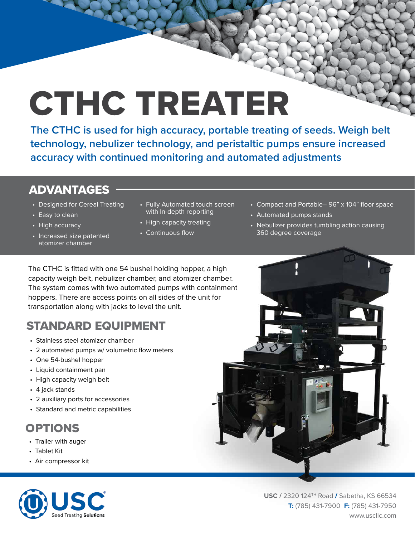# CTHC TREATER

**The CTHC is used for high accuracy, portable treating of seeds. Weigh belt technology, nebulizer technology, and peristaltic pumps ensure increased accuracy with continued monitoring and automated adjustments**

#### ADVANTAGES

- Designed for Cereal Treating
- Easy to clean
- High accuracy
- Increased size patented atomizer chamber
- Fully Automated touch screen with In-depth reporting
- High capacity treating
- Continuous flow
- Compact and Portable– 96" x 104" floor space
- Automated pumps stands
- Nebulizer provides tumbling action causing 360 degree coverage

The CTHC is fitted with one 54 bushel holding hopper, a high capacity weigh belt, nebulizer chamber, and atomizer chamber. The system comes with two automated pumps with containment hoppers. There are access points on all sides of the unit for transportation along with jacks to level the unit.

## STANDARD EQUIPMENT

- Stainless steel atomizer chamber
- 2 automated pumps w/ volumetric flow meters
- One 54-bushel hopper
- Liquid containment pan
- High capacity weigh belt
- 4 jack stands
- 2 auxiliary ports for accessories
- Standard and metric capabilities

# OPTIONS

- Trailer with auger
- Tablet Kit
- Air compressor kit



**USC /** 2320 124TH Road / Sabetha, KS 66534 **T:** (785) 431-7900 **F:** (785) 431-7950 www.uscllc.com